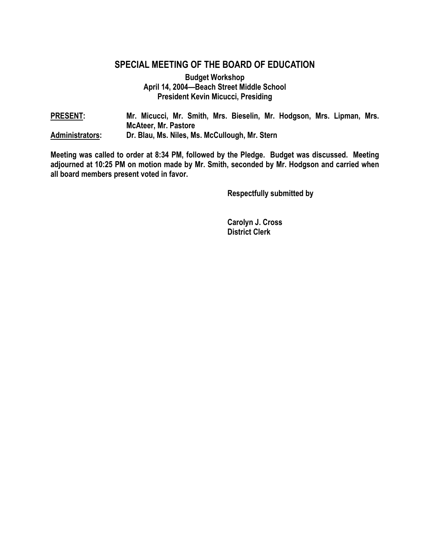## **SPECIAL MEETING OF THE BOARD OF EDUCATION**

**Budget Workshop April 14, 2004—Beach Street Middle School President Kevin Micucci, Presiding** 

| <b>PRESENT:</b>        | Mr. Micucci, Mr. Smith, Mrs. Bieselin, Mr. Hodgson, Mrs. Lipman, Mrs. |
|------------------------|-----------------------------------------------------------------------|
|                        | <b>McAteer, Mr. Pastore</b>                                           |
| <b>Administrators:</b> | Dr. Blau, Ms. Niles, Ms. McCullough, Mr. Stern                        |

**Meeting was called to order at 8:34 PM, followed by the Pledge. Budget was discussed. Meeting adjourned at 10:25 PM on motion made by Mr. Smith, seconded by Mr. Hodgson and carried when all board members present voted in favor.** 

 **Respectfully submitted by** 

 **Carolyn J. Cross District Clerk**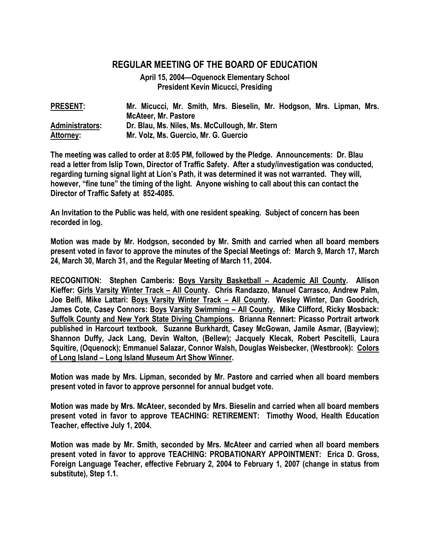## **REGULAR MEETING OF THE BOARD OF EDUCATION**

**April 15, 2004—Oquenock Elementary School President Kevin Micucci, Presiding** 

| <b>PRESENT:</b>  | Mr. Micucci, Mr. Smith, Mrs. Bieselin, Mr. Hodgson, Mrs. Lipman, Mrs. |
|------------------|-----------------------------------------------------------------------|
|                  | <b>McAteer, Mr. Pastore</b>                                           |
| Administrators:  | Dr. Blau, Ms. Niles, Ms. McCullough, Mr. Stern                        |
| <b>Attorney:</b> | Mr. Volz, Ms. Guercio, Mr. G. Guercio                                 |

**The meeting was called to order at 8:05 PM, followed by the Pledge. Announcements: Dr. Blau read a letter from Islip Town, Director of Traffic Safety. After a study/investigation was conducted, regarding turning signal light at Lion's Path, it was determined it was not warranted. They will, however, "fine tune" the timing of the light. Anyone wishing to call about this can contact the Director of Traffic Safety at 852-4085.** 

**An Invitation to the Public was held, with one resident speaking. Subject of concern has been recorded in log.** 

**Motion was made by Mr. Hodgson, seconded by Mr. Smith and carried when all board members present voted in favor to approve the minutes of the Special Meetings of: March 9, March 17, March 24, March 30, March 31, and the Regular Meeting of March 11, 2004.** 

**RECOGNITION: Stephen Camberis: Boys Varsity Basketball – Academic All County. Allison Kieffer: Girls Varsity Winter Track – All County. Chris Randazzo, Manuel Carrasco, Andrew Palm, Joe Belfi, Mike Lattari: Boys Varsity Winter Track – All County. Wesley Winter, Dan Goodrich, James Cote, Casey Connors: Boys Varsity Swimming – All County. Mike Clifford, Ricky Mosback: Suffolk County and New York State Diving Champions. Brianna Rennert: Picasso Portrait artwork published in Harcourt textbook. Suzanne Burkhardt, Casey McGowan, Jamile Asmar, (Bayview); Shannon Duffy, Jack Lang, Devin Walton, (Bellew); Jacquely Klecak, Robert Pescitelli, Laura Squitire, (Oquenock); Emmanuel Salazar, Connor Walsh, Douglas Weisbecker, (Westbrook): Colors of Long Island – Long Island Museum Art Show Winner.** 

**Motion was made by Mrs. Lipman, seconded by Mr. Pastore and carried when all board members present voted in favor to approve personnel for annual budget vote.** 

**Motion was made by Mrs. McAteer, seconded by Mrs. Bieselin and carried when all board members present voted in favor to approve TEACHING: RETIREMENT: Timothy Wood, Health Education Teacher, effective July 1, 2004.** 

**Motion was made by Mr. Smith, seconded by Mrs. McAteer and carried when all board members present voted in favor to approve TEACHING: PROBATIONARY APPOINTMENT: Erica D. Gross, Foreign Language Teacher, effective February 2, 2004 to February 1, 2007 (change in status from substitute), Step 1.1.**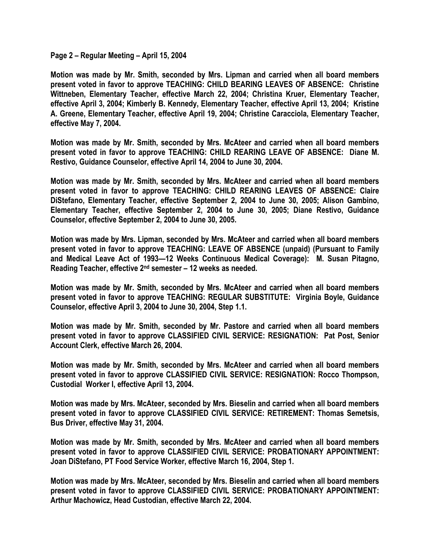**Page 2 – Regular Meeting – April 15, 2004** 

**Motion was made by Mr. Smith, seconded by Mrs. Lipman and carried when all board members present voted in favor to approve TEACHING: CHILD BEARING LEAVES OF ABSENCE: Christine Wittneben, Elementary Teacher, effective March 22, 2004; Christina Kruer, Elementary Teacher, effective April 3, 2004; Kimberly B. Kennedy, Elementary Teacher, effective April 13, 2004; Kristine A. Greene, Elementary Teacher, effective April 19, 2004; Christine Caracciola, Elementary Teacher, effective May 7, 2004.** 

**Motion was made by Mr. Smith, seconded by Mrs. McAteer and carried when all board members present voted in favor to approve TEACHING: CHILD REARING LEAVE OF ABSENCE: Diane M. Restivo, Guidance Counselor, effective April 14, 2004 to June 30, 2004.** 

**Motion was made by Mr. Smith, seconded by Mrs. McAteer and carried when all board members present voted in favor to approve TEACHING: CHILD REARING LEAVES OF ABSENCE: Claire DiStefano, Elementary Teacher, effective September 2, 2004 to June 30, 2005; Alison Gambino, Elementary Teacher, effective September 2, 2004 to June 30, 2005; Diane Restivo, Guidance Counselor, effective September 2, 2004 to June 30, 2005.** 

**Motion was made by Mrs. Lipman, seconded by Mrs. McAteer and carried when all board members present voted in favor to approve TEACHING: LEAVE OF ABSENCE (unpaid) (Pursuant to Family and Medical Leave Act of 1993—12 Weeks Continuous Medical Coverage): M. Susan Pitagno, Reading Teacher, effective 2nd semester – 12 weeks as needed.** 

**Motion was made by Mr. Smith, seconded by Mrs. McAteer and carried when all board members present voted in favor to approve TEACHING: REGULAR SUBSTITUTE: Virginia Boyle, Guidance Counselor, effective April 3, 2004 to June 30, 2004, Step 1.1.** 

**Motion was made by Mr. Smith, seconded by Mr. Pastore and carried when all board members present voted in favor to approve CLASSIFIED CIVIL SERVICE: RESIGNATION: Pat Post, Senior Account Clerk, effective March 26, 2004.** 

**Motion was made by Mr. Smith, seconded by Mrs. McAteer and carried when all board members present voted in favor to approve CLASSIFIED CIVIL SERVICE: RESIGNATION: Rocco Thompson, Custodial Worker I, effective April 13, 2004.** 

**Motion was made by Mrs. McAteer, seconded by Mrs. Bieselin and carried when all board members present voted in favor to approve CLASSIFIED CIVIL SERVICE: RETIREMENT: Thomas Semetsis, Bus Driver, effective May 31, 2004.** 

**Motion was made by Mr. Smith, seconded by Mrs. McAteer and carried when all board members present voted in favor to approve CLASSIFIED CIVIL SERVICE: PROBATIONARY APPOINTMENT: Joan DiStefano, PT Food Service Worker, effective March 16, 2004, Step 1.** 

**Motion was made by Mrs. McAteer, seconded by Mrs. Bieselin and carried when all board members present voted in favor to approve CLASSIFIED CIVIL SERVICE: PROBATIONARY APPOINTMENT: Arthur Machowicz, Head Custodian, effective March 22, 2004.**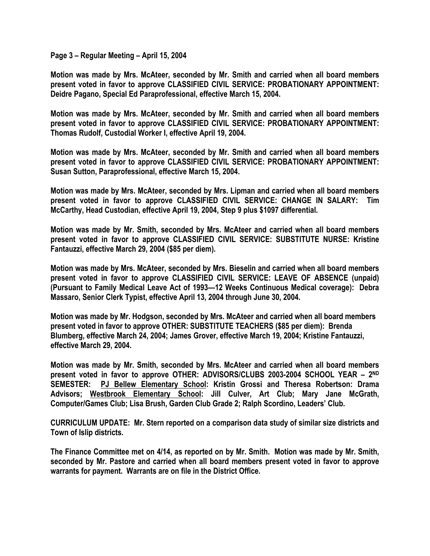**Page 3 – Regular Meeting – April 15, 2004** 

**Motion was made by Mrs. McAteer, seconded by Mr. Smith and carried when all board members present voted in favor to approve CLASSIFIED CIVIL SERVICE: PROBATIONARY APPOINTMENT: Deidre Pagano, Special Ed Paraprofessional, effective March 15, 2004.** 

**Motion was made by Mrs. McAteer, seconded by Mr. Smith and carried when all board members present voted in favor to approve CLASSIFIED CIVIL SERVICE: PROBATIONARY APPOINTMENT: Thomas Rudolf, Custodial Worker I, effective April 19, 2004.** 

**Motion was made by Mrs. McAteer, seconded by Mr. Smith and carried when all board members present voted in favor to approve CLASSIFIED CIVIL SERVICE: PROBATIONARY APPOINTMENT: Susan Sutton, Paraprofessional, effective March 15, 2004.** 

**Motion was made by Mrs. McAteer, seconded by Mrs. Lipman and carried when all board members present voted in favor to approve CLASSIFIED CIVIL SERVICE: CHANGE IN SALARY: Tim McCarthy, Head Custodian, effective April 19, 2004, Step 9 plus \$1097 differential.** 

**Motion was made by Mr. Smith, seconded by Mrs. McAteer and carried when all board members present voted in favor to approve CLASSIFIED CIVIL SERVICE: SUBSTITUTE NURSE: Kristine Fantauzzi, effective March 29, 2004 (\$85 per diem).** 

**Motion was made by Mrs. McAteer, seconded by Mrs. Bieselin and carried when all board members present voted in favor to approve CLASSIFIED CIVIL SERVICE: LEAVE OF ABSENCE (unpaid) (Pursuant to Family Medical Leave Act of 1993—12 Weeks Continuous Medical coverage): Debra Massaro, Senior Clerk Typist, effective April 13, 2004 through June 30, 2004.** 

**Motion was made by Mr. Hodgson, seconded by Mrs. McAteer and carried when all board members present voted in favor to approve OTHER: SUBSTITUTE TEACHERS (\$85 per diem): Brenda Blumberg, effective March 24, 2004; James Grover, effective March 19, 2004; Kristine Fantauzzi, effective March 29, 2004.** 

**Motion was made by Mr. Smith, seconded by Mrs. McAteer and carried when all board members present voted in favor to approve OTHER: ADVISORS/CLUBS 2003-2004 SCHOOL YEAR – 2ND SEMESTER: PJ Bellew Elementary School: Kristin Grossi and Theresa Robertson: Drama Advisors; Westbrook Elementary School: Jill Culver, Art Club; Mary Jane McGrath, Computer/Games Club; Lisa Brush, Garden Club Grade 2; Ralph Scordino, Leaders' Club.** 

**CURRICULUM UPDATE: Mr. Stern reported on a comparison data study of similar size districts and Town of Islip districts.** 

**The Finance Committee met on 4/14, as reported on by Mr. Smith. Motion was made by Mr. Smith, seconded by Mr. Pastore and carried when all board members present voted in favor to approve warrants for payment. Warrants are on file in the District Office.**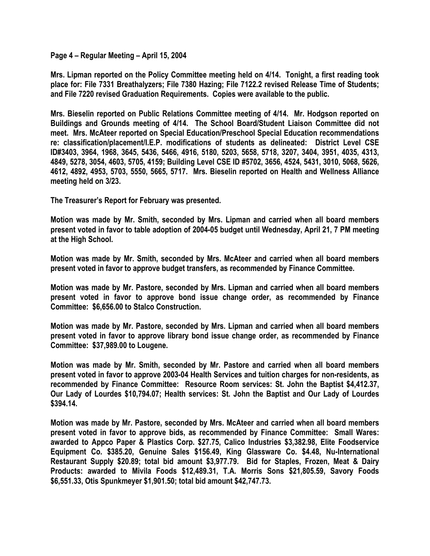**Page 4 – Regular Meeting – April 15, 2004** 

**Mrs. Lipman reported on the Policy Committee meeting held on 4/14. Tonight, a first reading took place for: File 7331 Breathalyzers; File 7380 Hazing; File 7122.2 revised Release Time of Students; and File 7220 revised Graduation Requirements. Copies were available to the public.** 

**Mrs. Bieselin reported on Public Relations Committee meeting of 4/14. Mr. Hodgson reported on Buildings and Grounds meeting of 4/14. The School Board/Student Liaison Committee did not meet. Mrs. McAteer reported on Special Education/Preschool Special Education recommendations re: classification/placement/I.E.P. modifications of students as delineated: District Level CSE ID#3403, 3964, 1968, 3645, 5436, 5466, 4916, 5180, 5203, 5658, 5718, 3207, 3404, 3951, 4035, 4313, 4849, 5278, 3054, 4603, 5705, 4159; Building Level CSE ID #5702, 3656, 4524, 5431, 3010, 5068, 5626, 4612, 4892, 4953, 5703, 5550, 5665, 5717. Mrs. Bieselin reported on Health and Wellness Alliance meeting held on 3/23.** 

**The Treasurer's Report for February was presented.** 

**Motion was made by Mr. Smith, seconded by Mrs. Lipman and carried when all board members present voted in favor to table adoption of 2004-05 budget until Wednesday, April 21, 7 PM meeting at the High School.** 

**Motion was made by Mr. Smith, seconded by Mrs. McAteer and carried when all board members present voted in favor to approve budget transfers, as recommended by Finance Committee.** 

**Motion was made by Mr. Pastore, seconded by Mrs. Lipman and carried when all board members present voted in favor to approve bond issue change order, as recommended by Finance Committee: \$6,656.00 to Stalco Construction.** 

**Motion was made by Mr. Pastore, seconded by Mrs. Lipman and carried when all board members present voted in favor to approve library bond issue change order, as recommended by Finance Committee: \$37,989.00 to Lougene.** 

**Motion was made by Mr. Smith, seconded by Mr. Pastore and carried when all board members present voted in favor to approve 2003-04 Health Services and tuition charges for non-residents, as recommended by Finance Committee: Resource Room services: St. John the Baptist \$4,412.37, Our Lady of Lourdes \$10,794.07; Health services: St. John the Baptist and Our Lady of Lourdes \$394.14.** 

**Motion was made by Mr. Pastore, seconded by Mrs. McAteer and carried when all board members present voted in favor to approve bids, as recommended by Finance Committee: Small Wares: awarded to Appco Paper & Plastics Corp. \$27.75, Calico Industries \$3,382.98, Elite Foodservice Equipment Co. \$385.20, Genuine Sales \$156.49, King Glassware Co. \$4.48, Nu-International Restaurant Supply \$20.89; total bid amount \$3,977.79. Bid for Staples, Frozen, Meat & Dairy Products: awarded to Mivila Foods \$12,489.31, T.A. Morris Sons \$21,805.59, Savory Foods \$6,551.33, Otis Spunkmeyer \$1,901.50; total bid amount \$42,747.73.**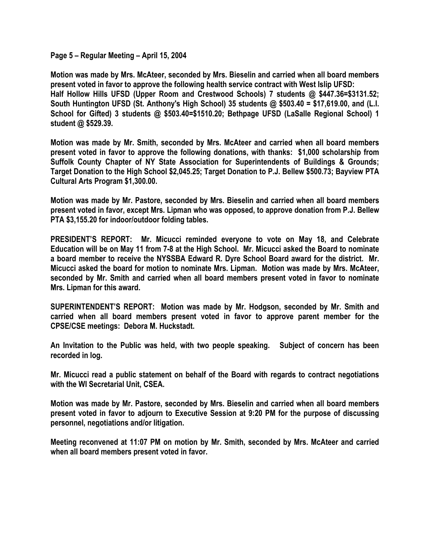**Page 5 – Regular Meeting – April 15, 2004** 

**Motion was made by Mrs. McAteer, seconded by Mrs. Bieselin and carried when all board members present voted in favor to approve the following health service contract with West Islip UFSD: Half Hollow Hills UFSD (Upper Room and Crestwood Schools) 7 students @ \$447.36=\$3131.52; South Huntington UFSD (St. Anthony's High School) 35 students @ \$503.40 = \$17,619.00, and (L.I. School for Gifted) 3 students @ \$503.40=\$1510.20; Bethpage UFSD (LaSalle Regional School) 1 student @ \$529.39.** 

**Motion was made by Mr. Smith, seconded by Mrs. McAteer and carried when all board members present voted in favor to approve the following donations, with thanks: \$1,000 scholarship from Suffolk County Chapter of NY State Association for Superintendents of Buildings & Grounds; Target Donation to the High School \$2,045.25; Target Donation to P.J. Bellew \$500.73; Bayview PTA Cultural Arts Program \$1,300.00.** 

**Motion was made by Mr. Pastore, seconded by Mrs. Bieselin and carried when all board members present voted in favor, except Mrs. Lipman who was opposed, to approve donation from P.J. Bellew PTA \$3,155.20 for indoor/outdoor folding tables.** 

**PRESIDENT'S REPORT: Mr. Micucci reminded everyone to vote on May 18, and Celebrate Education will be on May 11 from 7-8 at the High School. Mr. Micucci asked the Board to nominate a board member to receive the NYSSBA Edward R. Dyre School Board award for the district. Mr. Micucci asked the board for motion to nominate Mrs. Lipman. Motion was made by Mrs. McAteer, seconded by Mr. Smith and carried when all board members present voted in favor to nominate Mrs. Lipman for this award.** 

**SUPERINTENDENT'S REPORT: Motion was made by Mr. Hodgson, seconded by Mr. Smith and carried when all board members present voted in favor to approve parent member for the CPSE/CSE meetings: Debora M. Huckstadt.** 

**An Invitation to the Public was held, with two people speaking. Subject of concern has been recorded in log.** 

**Mr. Micucci read a public statement on behalf of the Board with regards to contract negotiations with the WI Secretarial Unit, CSEA.** 

**Motion was made by Mr. Pastore, seconded by Mrs. Bieselin and carried when all board members present voted in favor to adjourn to Executive Session at 9:20 PM for the purpose of discussing personnel, negotiations and/or litigation.** 

**Meeting reconvened at 11:07 PM on motion by Mr. Smith, seconded by Mrs. McAteer and carried when all board members present voted in favor.**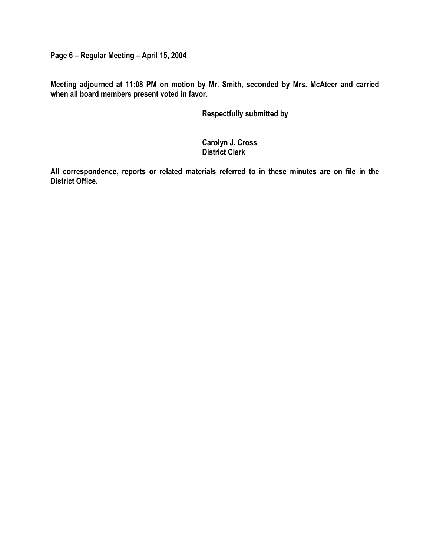**Page 6 – Regular Meeting – April 15, 2004** 

**Meeting adjourned at 11:08 PM on motion by Mr. Smith, seconded by Mrs. McAteer and carried when all board members present voted in favor.** 

 **Respectfully submitted by** 

 **Carolyn J. Cross District Clerk** 

**All correspondence, reports or related materials referred to in these minutes are on file in the District Office.**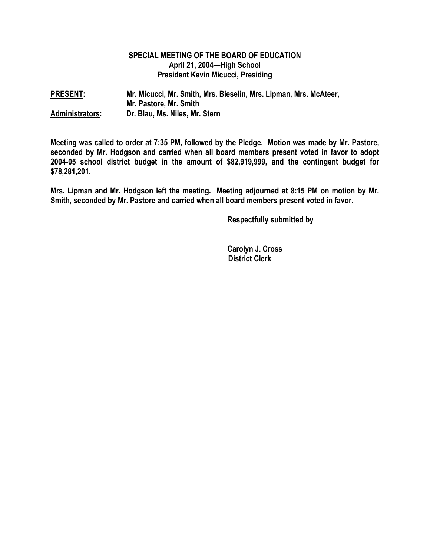## **SPECIAL MEETING OF THE BOARD OF EDUCATION April 21, 2004—High School President Kevin Micucci, Presiding**

**PRESENT: Mr. Micucci, Mr. Smith, Mrs. Bieselin, Mrs. Lipman, Mrs. McAteer, Mr. Pastore, Mr. Smith Administrators: Dr. Blau, Ms. Niles, Mr. Stern** 

**Meeting was called to order at 7:35 PM, followed by the Pledge. Motion was made by Mr. Pastore, seconded by Mr. Hodgson and carried when all board members present voted in favor to adopt 2004-05 school district budget in the amount of \$82,919,999, and the contingent budget for \$78,281,201.** 

**Mrs. Lipman and Mr. Hodgson left the meeting. Meeting adjourned at 8:15 PM on motion by Mr. Smith, seconded by Mr. Pastore and carried when all board members present voted in favor.** 

 **Respectfully submitted by** 

 **Carolyn J. Cross District Clerk**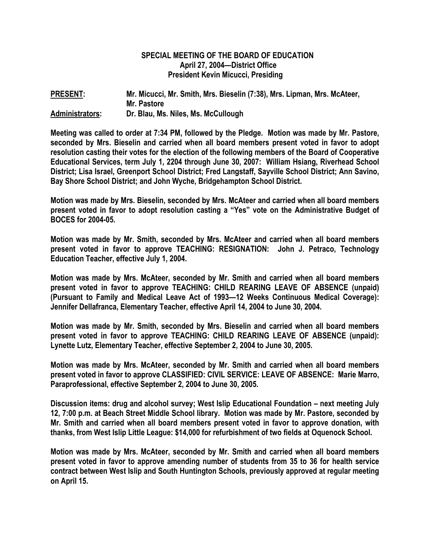## **SPECIAL MEETING OF THE BOARD OF EDUCATION April 27, 2004—District Office President Kevin Micucci, Presiding**

**PRESENT: Mr. Micucci, Mr. Smith, Mrs. Bieselin (7:38), Mrs. Lipman, Mrs. McAteer, Mr. Pastore Administrators: Dr. Blau, Ms. Niles, Ms. McCullough** 

**Meeting was called to order at 7:34 PM, followed by the Pledge. Motion was made by Mr. Pastore, seconded by Mrs. Bieselin and carried when all board members present voted in favor to adopt resolution casting their votes for the election of the following members of the Board of Cooperative Educational Services, term July 1, 2204 through June 30, 2007: William Hsiang, Riverhead School District; Lisa Israel, Greenport School District; Fred Langstaff, Sayville School District; Ann Savino, Bay Shore School District; and John Wyche, Bridgehampton School District.** 

**Motion was made by Mrs. Bieselin, seconded by Mrs. McAteer and carried when all board members present voted in favor to adopt resolution casting a "Yes" vote on the Administrative Budget of BOCES for 2004-05.** 

**Motion was made by Mr. Smith, seconded by Mrs. McAteer and carried when all board members present voted in favor to approve TEACHING: RESIGNATION: John J. Petraco, Technology Education Teacher, effective July 1, 2004.** 

**Motion was made by Mrs. McAteer, seconded by Mr. Smith and carried when all board members present voted in favor to approve TEACHING: CHILD REARING LEAVE OF ABSENCE (unpaid) (Pursuant to Family and Medical Leave Act of 1993—12 Weeks Continuous Medical Coverage): Jennifer Dellafranca, Elementary Teacher, effective April 14, 2004 to June 30, 2004.** 

**Motion was made by Mr. Smith, seconded by Mrs. Bieselin and carried when all board members present voted in favor to approve TEACHING: CHILD REARING LEAVE OF ABSENCE (unpaid): Lynette Lutz, Elementary Teacher, effective September 2, 2004 to June 30, 2005.** 

**Motion was made by Mrs. McAteer, seconded by Mr. Smith and carried when all board members present voted in favor to approve CLASSIFIED: CIVIL SERVICE: LEAVE OF ABSENCE: Marie Marro, Paraprofessional, effective September 2, 2004 to June 30, 2005.** 

**Discussion items: drug and alcohol survey; West Islip Educational Foundation – next meeting July 12, 7:00 p.m. at Beach Street Middle School library. Motion was made by Mr. Pastore, seconded by Mr. Smith and carried when all board members present voted in favor to approve donation, with thanks, from West Islip Little League: \$14,000 for refurbishment of two fields at Oquenock School.** 

**Motion was made by Mrs. McAteer, seconded by Mr. Smith and carried when all board members present voted in favor to approve amending number of students from 35 to 36 for health service contract between West Islip and South Huntington Schools, previously approved at regular meeting on April 15.**